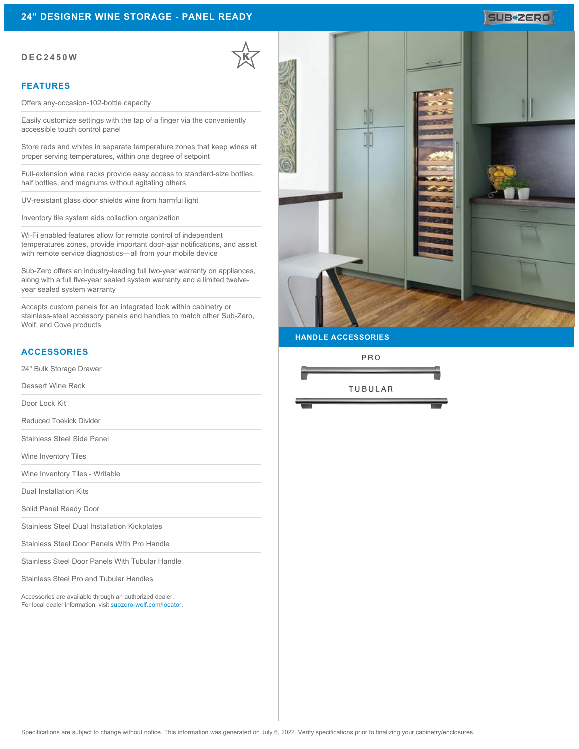#### **DEC2450W**

#### **FEATURES**

Offers any-occasion-102-bottle capacity

Easily customize settings with the tap of a finger via the conveniently accessible touch control panel

Store reds and whites in separate temperature zones that keep wines at proper serving temperatures, within one degree of setpoint

Full-extension wine racks provide easy access to standard-size bottles, half bottles, and magnums without agitating others

UV-resistant glass door shields wine from harmful light

Inventory tile system aids collection organization

Wi-Fi enabled features allow for remote control of independent temperatures zones, provide important door-ajar notifications, and assist with remote service diagnostics—all from your mobile device

Sub-Zero offers an industry-leading full two-year warranty on appliances, along with a full five-year sealed system warranty and a limited twelveyear sealed system warranty

Accepts custom panels for an integrated look within cabinetry or stainless-steel accessory panels and handles to match other Sub-Zero, Wolf, and Cove products

### **ACCESSORIES**

24" Bulk Storage Drawer

Dessert Wine Rack

Door Lock Kit

Reduced Toekick Divider

Stainless Steel Side Panel

Wine Inventory Tiles

Wine Inventory Tiles - Writable

Dual Installation Kits

Solid Panel Ready Door

Stainless Steel Dual Installation Kickplates

Stainless Steel Door Panels With Pro Handle

Stainless Steel Door Panels With Tubular Handle

Stainless Steel Pro and Tubular Handles

Accessories are available through an authorized dealer. For local dealer information, visit [subzero-wolf.com/locator.](http://www.subzero-wolf.com/locator)



SUB<sup>\*</sup>ZERO

**HANDLE ACCESSORIES**

PRO